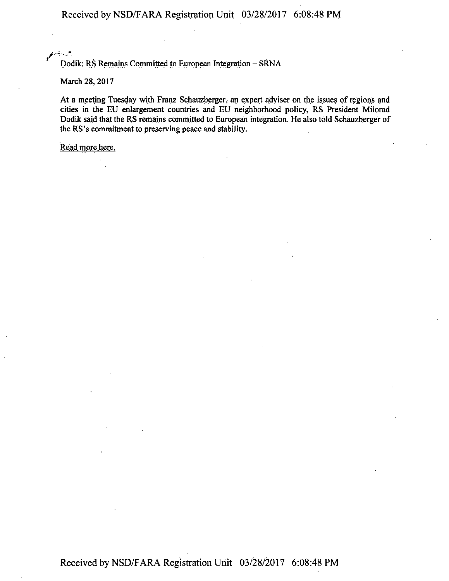Received by NSD/F ARA Registration Unit 03/28/2017 6:08:48 PM

<sup>يس</sup> تو *·\_j,* \_\_ .. , . .

Dodik: RS Remains Committed to European Integration - SRNA

March 28, 2017

At a meeting Tuesday with Franz Schauzberger, an expert adviser on the issues of regions and cities in the EU enlargement countries and EU neighborhood policy, RS President Milorad Dodik said that the RS remains committed to European integration. He also told Schauzberger of the RS's commitment to preserving peace and stability.

Read more here.